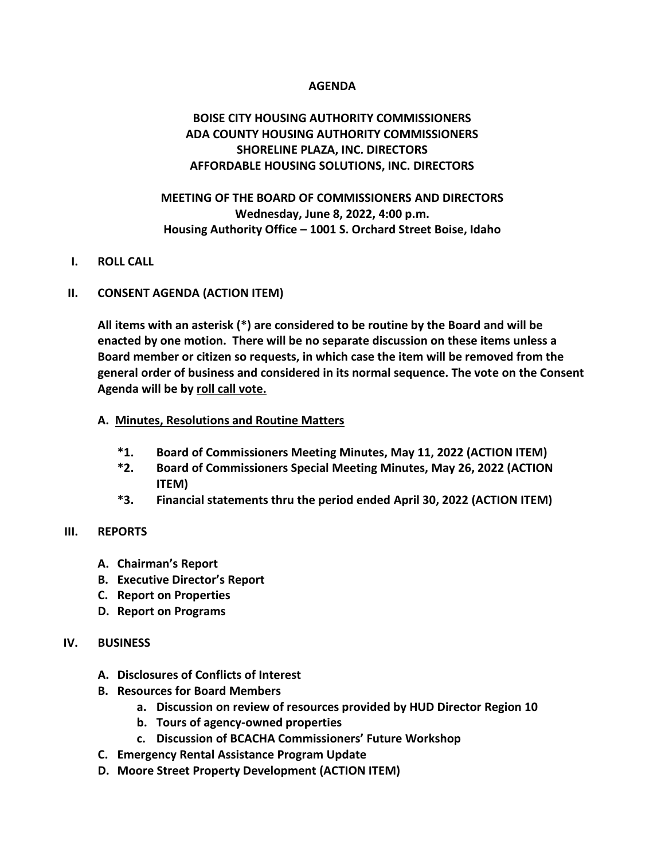## **AGENDA**

## **BOISE CITY HOUSING AUTHORITY COMMISSIONERS ADA COUNTY HOUSING AUTHORITY COMMISSIONERS SHORELINE PLAZA, INC. DIRECTORS AFFORDABLE HOUSING SOLUTIONS, INC. DIRECTORS**

# **MEETING OF THE BOARD OF COMMISSIONERS AND DIRECTORS Wednesday, June 8, 2022, 4:00 p.m. Housing Authority Office – 1001 S. Orchard Street Boise, Idaho**

## **I. ROLL CALL**

## **II. CONSENT AGENDA (ACTION ITEM)**

**All items with an asterisk (\*) are considered to be routine by the Board and will be enacted by one motion. There will be no separate discussion on these items unless a Board member or citizen so requests, in which case the item will be removed from the general order of business and considered in its normal sequence. The vote on the Consent Agenda will be by roll call vote.** 

## **A. Minutes, Resolutions and Routine Matters**

- **\*1. Board of Commissioners Meeting Minutes, May 11, 2022 (ACTION ITEM)**
- **\*2. Board of Commissioners Special Meeting Minutes, May 26, 2022 (ACTION ITEM)**
- **\*3. Financial statements thru the period ended April 30, 2022 (ACTION ITEM)**

#### **III. REPORTS**

- **A. Chairman's Report**
- **B. Executive Director's Report**
- **C. Report on Properties**
- **D. Report on Programs**

#### **IV. BUSINESS**

- **A. Disclosures of Conflicts of Interest**
- **B. Resources for Board Members** 
	- **a. Discussion on review of resources provided by HUD Director Region 10**
	- **b. Tours of agency-owned properties**
	- **c. Discussion of BCACHA Commissioners' Future Workshop**
- **C. Emergency Rental Assistance Program Update**
- **D. Moore Street Property Development (ACTION ITEM)**